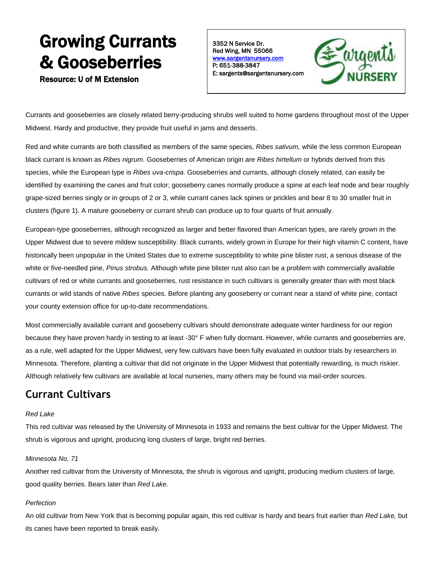# Growing Currants & Gooseberries

Resource: U of M Extension

3352 N Service Dr. Red Wing, MN 55066 [www.sargentsnursery.com](http://www.sargentsnursery.com/)  P: 651-388-3847 E: sargents@sargentsnursery.com



Currants and gooseberries are closely related berry-producing shrubs well suited to home gardens throughout most of the Upper Midwest. Hardy and productive, they provide fruit useful in jams and desserts.

Red and white currants are both classified as members of the same species, *Ribes sativum,* while the less common European black currant is known as *Ribes nigrum.* Gooseberries of American origin are *Ribes hirtellum* or hybrids derived from this species, while the European type is *Ribes uva-crispa.* Gooseberries and currants, although closely related, can easily be identified by examining the canes and fruit color; gooseberry canes normally produce a spine at each leaf node and bear roughly grape-sized berries singly or in groups of 2 or 3, while currant canes lack spines or prickles and bear 8 to 30 smaller fruit in clusters (figure 1). A mature gooseberry or currant shrub can produce up to four quarts of fruit annually.

European-type gooseberries, although recognized as larger and better flavored than American types, are rarely grown in the Upper Midwest due to severe mildew susceptibility. Black currants, widely grown in Europe for their high vitamin C content, have historically been unpopular in the United States due to extreme susceptibility to white pine blister rust, a serious disease of the white or five-needled pine, *Pinus strobus.* Although white pine blister rust also can be a problem with commercially available cultivars of red or white currants and gooseberries, rust resistance in such cultivars is generally greater than with most black currants or wild stands of native *Ribes* species. Before planting any gooseberry or currant near a stand of white pine, contact your county extension office for up-to-date recommendations.

Most commercially available currant and gooseberry cultivars should demonstrate adequate winter hardiness for our region because they have proven hardy in testing to at least -30° F when fully dormant. However, while currants and gooseberries are, as a rule, well adapted for the Upper Midwest, very few cultivars have been fully evaluated in outdoor trials by researchers in Minnesota. Therefore, planting a cultivar that did not originate in the Upper Midwest that potentially rewarding, is much riskier. Although relatively few cultivars are available at local nurseries, many others may be found via mail-order sources.

### **Currant Cultivars**

#### *Red Lake*

This red cultivar was released by the University of Minnesota in 1933 and remains the best cultivar for the Upper Midwest. The shrub is vigorous and upright, producing long clusters of large, bright red berries.

#### *Minnesota No. 71*

Another red cultivar from the University of Minnesota, the shrub is vigorous and upright, producing medium clusters of large, good quality berries. Bears later than *Red Lake.* 

#### *Perfection*

An old cultivar from New York that is becoming popular again, this red cultivar is hardy and bears fruit earlier than *Red Lake,* but its canes have been reported to break easily.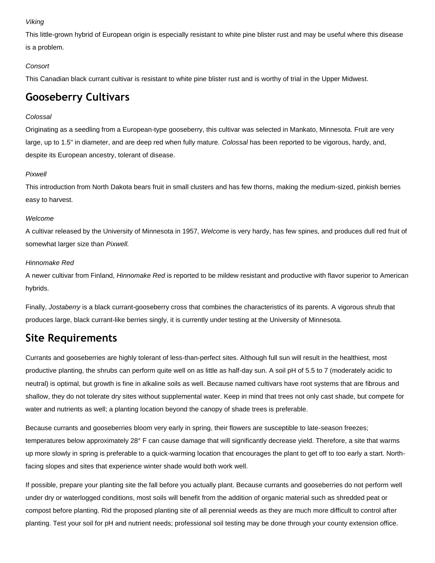#### *Viking*

This little-grown hybrid of European origin is especially resistant to white pine blister rust and may be useful where this disease is a problem.

#### *Consort*

This Canadian black currant cultivar is resistant to white pine blister rust and is worthy of trial in the Upper Midwest.

### **Gooseberry Cultivars**

#### *Colossal*

Originating as a seedling from a European-type gooseberry, this cultivar was selected in Mankato, Minnesota. Fruit are very large, up to 1.5" in diameter, and are deep red when fully mature. *Colossal* has been reported to be vigorous, hardy, and, despite its European ancestry, tolerant of disease.

#### *Pixwell*

This introduction from North Dakota bears fruit in small clusters and has few thorns, making the medium-sized, pinkish berries easy to harvest.

#### *Welcome*

A cultivar released by the University of Minnesota in 1957, *Welcome* is very hardy, has few spines, and produces dull red fruit of somewhat larger size than *Pixwell.* 

#### *Hinnomake Red*

A newer cultivar from Finland, *Hinnomake Red* is reported to be mildew resistant and productive with flavor superior to American hybrids.

Finally, *Jostaberry* is a black currant-gooseberry cross that combines the characteristics of its parents. A vigorous shrub that produces large, black currant-like berries singly, it is currently under testing at the University of Minnesota.

### **Site Requirements**

Currants and gooseberries are highly tolerant of less-than-perfect sites. Although full sun will result in the healthiest, most productive planting, the shrubs can perform quite well on as little as half-day sun. A soil pH of 5.5 to 7 (moderately acidic to neutral) is optimal, but growth is fine in alkaline soils as well. Because named cultivars have root systems that are fibrous and shallow, they do not tolerate dry sites without supplemental water. Keep in mind that trees not only cast shade, but compete for water and nutrients as well; a planting location beyond the canopy of shade trees is preferable.

Because currants and gooseberries bloom very early in spring, their flowers are susceptible to late-season freezes; temperatures below approximately 28° F can cause damage that will significantly decrease yield. Therefore, a site that warms up more slowly in spring is preferable to a quick-warming location that encourages the plant to get off to too early a start. Northfacing slopes and sites that experience winter shade would both work well.

If possible, prepare your planting site the fall before you actually plant. Because currants and gooseberries do not perform well under dry or waterlogged conditions, most soils will benefit from the addition of organic material such as shredded peat or compost before planting. Rid the proposed planting site of all perennial weeds as they are much more difficult to control after planting. Test your soil for pH and nutrient needs; professional soil testing may be done through your county extension office.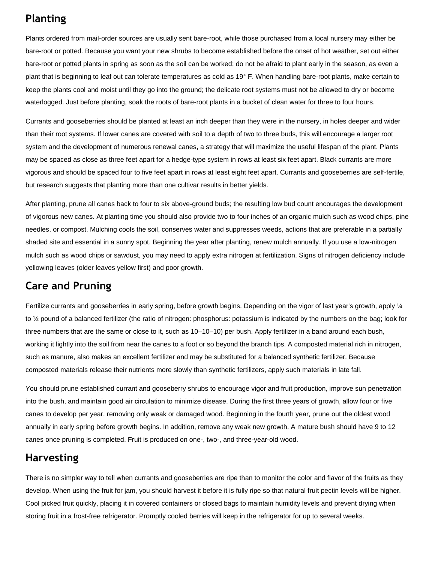### **Planting**

Plants ordered from mail-order sources are usually sent bare-root, while those purchased from a local nursery may either be bare-root or potted. Because you want your new shrubs to become established before the onset of hot weather, set out either bare-root or potted plants in spring as soon as the soil can be worked; do not be afraid to plant early in the season, as even a plant that is beginning to leaf out can tolerate temperatures as cold as 19° F. When handling bare-root plants, make certain to keep the plants cool and moist until they go into the ground; the delicate root systems must not be allowed to dry or become waterlogged. Just before planting, soak the roots of bare-root plants in a bucket of clean water for three to four hours.

Currants and gooseberries should be planted at least an inch deeper than they were in the nursery, in holes deeper and wider than their root systems. If lower canes are covered with soil to a depth of two to three buds, this will encourage a larger root system and the development of numerous renewal canes, a strategy that will maximize the useful lifespan of the plant. Plants may be spaced as close as three feet apart for a hedge-type system in rows at least six feet apart. Black currants are more vigorous and should be spaced four to five feet apart in rows at least eight feet apart. Currants and gooseberries are self-fertile, but research suggests that planting more than one cultivar results in better yields.

After planting, prune all canes back to four to six above-ground buds; the resulting low bud count encourages the development of vigorous new canes. At planting time you should also provide two to four inches of an organic mulch such as wood chips, pine needles, or compost. Mulching cools the soil, conserves water and suppresses weeds, actions that are preferable in a partially shaded site and essential in a sunny spot. Beginning the year after planting, renew mulch annually. If you use a low-nitrogen mulch such as wood chips or sawdust, you may need to apply extra nitrogen at fertilization. Signs of nitrogen deficiency include yellowing leaves (older leaves yellow first) and poor growth.

### **Care and Pruning**

Fertilize currants and gooseberries in early spring, before growth begins. Depending on the vigor of last year's growth, apply ¼ to ½ pound of a balanced fertilizer (the ratio of nitrogen: phosphorus: potassium is indicated by the numbers on the bag; look for three numbers that are the same or close to it, such as 10–10–10) per bush. Apply fertilizer in a band around each bush, working it lightly into the soil from near the canes to a foot or so beyond the branch tips. A composted material rich in nitrogen, such as manure, also makes an excellent fertilizer and may be substituted for a balanced synthetic fertilizer. Because composted materials release their nutrients more slowly than synthetic fertilizers, apply such materials in late fall.

You should prune established currant and gooseberry shrubs to encourage vigor and fruit production, improve sun penetration into the bush, and maintain good air circulation to minimize disease. During the first three years of growth, allow four or five canes to develop per year, removing only weak or damaged wood. Beginning in the fourth year, prune out the oldest wood annually in early spring before growth begins. In addition, remove any weak new growth. A mature bush should have 9 to 12 canes once pruning is completed. Fruit is produced on one-, two-, and three-year-old wood.

### **Harvesting**

There is no simpler way to tell when currants and gooseberries are ripe than to monitor the color and flavor of the fruits as they develop. When using the fruit for jam, you should harvest it before it is fully ripe so that natural fruit pectin levels will be higher. Cool picked fruit quickly, placing it in covered containers or closed bags to maintain humidity levels and prevent drying when storing fruit in a frost-free refrigerator. Promptly cooled berries will keep in the refrigerator for up to several weeks.